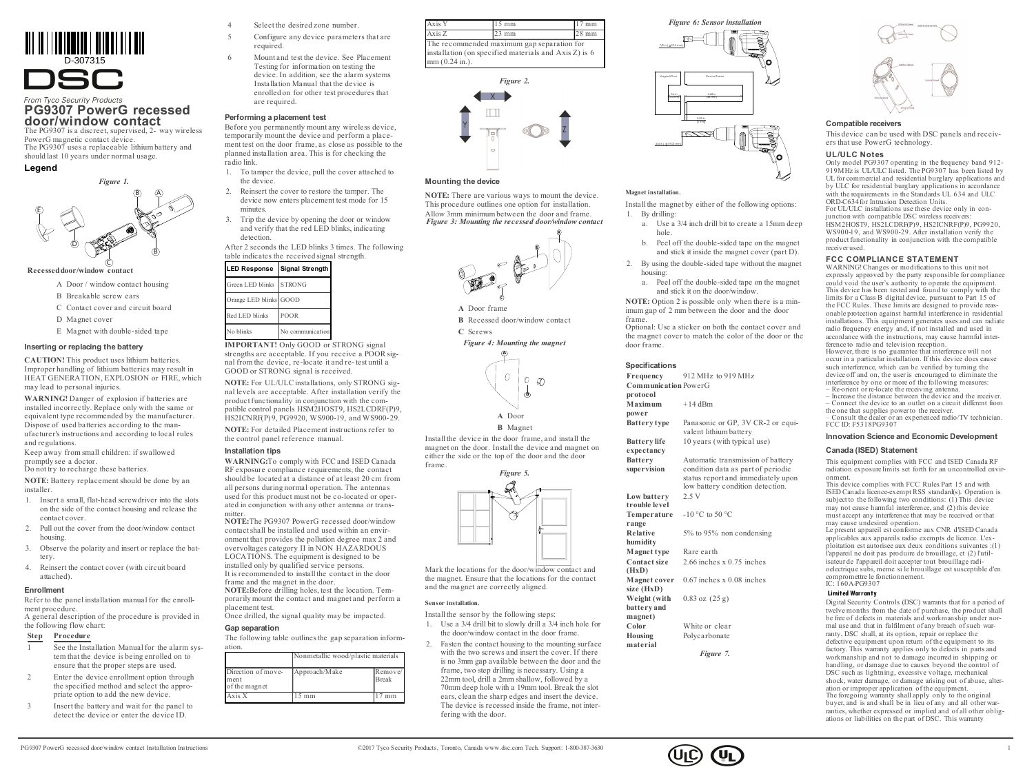D-307315 **SC.** 

From Tyco Security Products

### **PG9307 PowerG recessed door/window contact** The PG9307 is a discreet, supervised, 2- way wireless

PowerG magnetic contact device. The PG9307 uses a replaceable lithium battery and should last 10 years under normal usage.





#### **Recesseddoor/window contact**

- A Door / window contact housing
- B Breakable screw ears
- C Contact cover and circuit board
- D Magnet cover
- E Magnet with double-sided tape

### **Inserting or replacing the battery**

**CAUTION!** This product uses lithium batteries. Improper handling of lithium batteries may result in HEAT GENERATION, EXPLOSION or FIRE, which may lead to personal injuries.

**WARNING!** Danger of explosion if batteries are installed incorrectly. Replace only with the same or equivalent type recommended by the manufacturer. Dispose of used batteries according to the manufacturer's instructions and according to local rules and regulations.

Keep away from small children: if swallowed promptly see a doctor. Do not try to recharge these batteries.

**NOTE:** Battery replacement should be done by an installer.

- 1. Insert a small, flat-head screwdriver into the slots on the side of the contact housing and release the contact cover.
- 2. Pull out the cover from the door/window contact housing.
- 3. Observe the polarity and insert or replace the battery.
- 4. Reinsert the contact cover (with circuit board attached).

#### **Enrollment**

Refer to the panel installation manualfor the enrollment procedure. A general description of the procedure is provided in

the following flow chart:

### **Step Procedure**

- See the Installation Manual for the alarm system that the device is being enrolled on to ensure that the proper steps are used.
- 2 Enter the device enrollment option through the specified method and select the appropriate option to add the new device.
- Insert the battery and wait for the panel to detect the device or enter the device ID.
- Select the desired zone number.
- Configure any device parameters that are required.
- 6 Mount and test the device. See Placement Testing for information on testing the device. In addition, see the alarm systems Installation Manual that the device is enrolled on for other test procedures that are required.

### **Performing a placement test**

Before you permanently mount any wireless device, temporarily mount the device and perform a placement test on the door frame, as close as possible to the planned installation area. This is for checking the radio link.

- 1. To tamper the device, pull the cover attached to the device.
- 2. Reinsert the cover to restore the tamper. The device now enters placement test mode for 15 *minutes*
- 3. Trip the device by opening the door or window and verify that the red LED blinks, indicating detection

After 2 seconds the LED blinks 3 times. The following table indicates the received signal strength.

# **LED Response Signal Strength**

| Green LED blinks       | <b>STRONG</b>    |
|------------------------|------------------|
| Orange LED blinks GOOD |                  |
| Red LED blinks         | POOR             |
| No blinks              | No communication |

**IMPORTANT!** Only GOOD or STRONG signal strengths are acceptable. If you receive a POOR signal from the device, re-locate it and re-test until a GOOD or STRONG signal is received.

**NOTE:** For UL/ULCinstallations, only STRONG signal levels are acceptable. After installation verify the product functionality in conjunction with the compatible control panels HSM2HOST9, HS2LCDRF(P)9. HS2ICNRF(P) 9, PG9920, WS900-19, and WS900-29.

**NOTE:** For detailed Placement instructions refer to the control panel reference manual.

### **Installation tips**

**WARNING:**To comply with FCC and ISED Canada RF exposure compliance requirements, the contact should be located at a distance of at least 20 cm from all persons during normal operation. The antennas used for this product must not be co-located or operated in conjunction with any other antenna or transmitter.

**NOTE:**The PG9307 PowerG recessed door/window contactshall be installed and used within an environment that provides the pollution degree max 2 and overvoltages category II in NON HAZARDOUS LOCATIONS. The equipment is designed to be installed only by qualified service persons. It is recommended to install the contact in the door frame and the magnet in the door.

**NOTE:**Before drilling holes, test the location. Temporarily mount the contact and magnet and perform a placement test. Once drilled, the signal quality may be impacted.

#### **Gap separation**

The following table outlinesthe gap separation information.

|                                             | Nonmetallic wood/plastic materials |                         |
|---------------------------------------------|------------------------------------|-------------------------|
| Direction of move-<br>ment<br>of the magnet | Approach/Make                      | Remove/<br><b>Break</b> |
| Axis X                                      | mm                                 | mm                      |

| Axis Y                                                                                                                | $15 \text{ mm}$ | mm      |  |
|-----------------------------------------------------------------------------------------------------------------------|-----------------|---------|--|
| Axis Z                                                                                                                | $23 \text{ mm}$ | $28$ mm |  |
| The recommended maximum gap separation for<br>installation (on specified materials and Axis Z) is 6<br>mm (0.24 in.). |                 |         |  |



### **Mounting the device**

**NOTE:** There are various ways to mount the device. This procedure outlines one option for installation. Allow 3mm minimumbetween the door and frame. *Figure 3: Mounting the recessed door/window contact*



**A** Door frame

**B** Recessed door/window contact **C** Screws

*Figure 4: Mounting the magnet*



**B** Magnet

Install the device in the door frame, and install the magnet on the door. Install the device and magnet on either the side or the top of the door and the door frame.



Mark the locations for the door/window contact and the magnet. Ensure that the locations for the contact and the magnet are correctly aligned.

#### **Sensor installation.**

Install the sensor by the following steps:

- 1. Use a 3/4 drill bit to slowly drill a 3/4 inch hole for the door/window contact in the door frame.
- 2. Fasten the contact housing to the mounting surface with the two screws and insert the cover. If there is no 3mm gap available between the door and the frame, two step drilling is necessary. Using a 22mm tool, drill a 2mm shallow, followed by a 70mm deep hole with a 19mm tool. Break the slot ears, clean the sharp edges and insert the device. The device is recessed inside the frame, not interfering with the door.



### **Magnet installation.**

Install the magnet by either of the following options: 1. By drilling:

- a. Use a 3/4 inch drill bit to create a 15mm deep hole.
- b. Peel off the double-sided tape on the magnet and stick it inside the magnet cover (part D).
- 2. By using the double-sided tape without the magnet housing:
	- a. Peel off the double-sided tape on the magnet and stick it on the door/window.

**NOTE:** Option 2 is possible only when there is a minimum gap of 2 mm between the door and the door frame.

Optional: Use a sticker on both the contact cover and the magnet cover to match the color of the door or the door frame.

### **Specifications**

**Frequency** 912 MHz to 919 MHz **Communication** PowerG **protocol Maximum power**  $+14$  dBm **Battery type** Panasonic or GP, 3V CR-2 or equi-

valent lithiumbattery **Battery life expectancy** 10 years (with typical use)

**Battery supervision** Automatic transmission of battery condition data as part of periodic status report and immediately upon low battery condition detection. **Low battery trouble level** 2.5 V **Temperature range** -10 °C to 50 °C **Relative humidity** 5% to 95% non condensing **Magnet type** Rare earth **Contact size (HxD)** 2.66 inches x 0.75 inches **Magnet cover** 0.67 inches x 0.08 inches **size (HxD) Weight (with battery and** 0.83 oz (25 g)

**magnet) Color** White or clear **Housing material** Polycarbonate

*Figure 7.*



### **Compatible receivers**

This device can be used with DSC panels and receivers that use PowerG technology.

### **UL/ULC Notes**

Only model PG9307 operating in the frequency band 912- 919MHz is UL/ULC listed. The PG9307 has been listed by UL for commercial and residential burglary applications and by ULC for residential burglary applications in accordance with the requirements in the Standards UL 634 and ULC ORD-C634for Intrusion Detection Units. For UL/ULC installations use these device only in conjunction with compatible DSC wireless receivers: HSM2HOST9, HS2LCDRF(P)9, HS2ICNRF(P)9, PG9920, WS900-19, and WS900-29. After installation verify the product functionality in conjunction with the compatible receiverused.

### **FCC COMPLIANCE STATEMENT**

WARNING! Changes or modifications to this unit not expressly approved by the party responsible for compliance could void the user's authority to operate the equipment. This device has been tested and found to comply with the limits for a Class B digital device, pursuant to Part 15 of the FCC Rules. These limits are designed to provide reasonable protection against harmful interference in residential installations. This equipment generates uses and can radiate radio frequency energy and, if not installed and used in accordance with the instructions, may cause harmful interference to radio and television reception. However, there is no guarantee that interference will not

occurin a particular installation. If this device does cause such interference, which can be verified by turning the device off and on, the user is encouraged to eliminate the interference by one or more of the following measures:

– Re-orient or re-locate the receiving antenna. – Increase the distance between the device and the receiver. – Connect the device to an outlet on a circuit different from the one that supplies powerto the receiver. – Consult the dealer or an experienced radio/TV technician.

# FCC ID: F5318PG9307

### **Innovation Science and Economic Development**

#### **Canada (ISED) Statement**

This equipment complies with FCC and ISED Canada RF radiation exposure limits set forth for an uncontrolled environment.

This device complies with FCC Rules Part 15 and with ISED Canada licence-exempt RSS standard(s). Operation is subject to the following two conditions:  $(1)$  This device may not cause harmful interference, and (2) this device must accept any interference that may be received or that may cause undesired operation.

Le present appareil est conforme aux CNR d'ISED Canada applicables aux appareils radio exempts de licence. L'exploitation est autorisee aux deux conditions suivantes :(1) l'appareil ne doit pas produire de brouillage, et (2) l'utilisateur de l'appareil doit accepter tout brouillage radioelectrique subi, meme si le brouillage est susceptible d'en compromettre le fonctionnement. IC: 160A-PG9307

#### **Limited Warranty**

Digital Security Controls (DSC) warrants that for a period of twelve months from the date of purchase, the product shall be free of defects in materials and workmanship under normal use and that in fulfilment of any breach of such warranty, DSC shall, at its option, repair or replace the defective equipment upon return of the equipment to its factory. This warranty applies only to defects in parts and workmanship and not to damage incurred in shipping or handling, or damage due to causes beyond the control of DSC such as lightning, excessive voltage, mechanical shock, water damage, or damage arising out of abuse, alteration or improper application of the equipment. The foregoing warranty shall apply only to the original buyer, and is and shall be in lieu of any and all other warranties, whether expressed or implied and of all other obligations or liabilities on the part of DSC. This warranty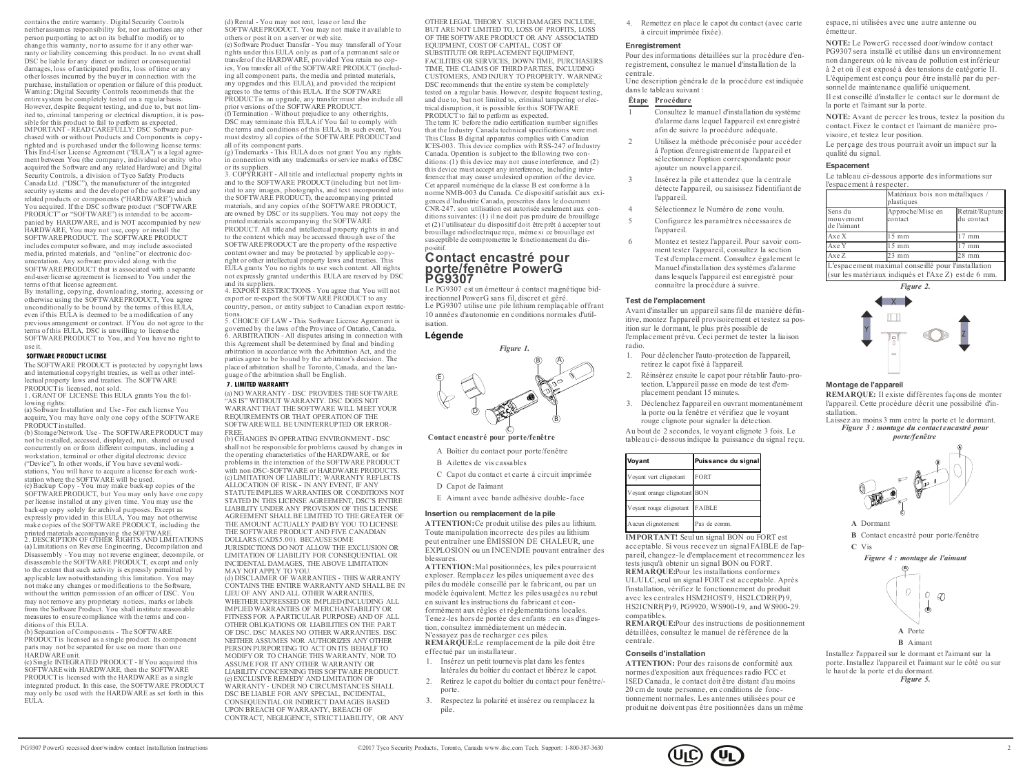contains the entire warranty. Digital Security Controls neither assumes responsibility for, nor authorizes any other person purporting to act on its behalfto modify or to change this warranty, nor to assume for it any other warranty or liability concerning this product. In no event shall DSC be liable for any direct or indirect or consequential damages, loss of anticipated profits, loss of time or any otherlosses incurred by the buyer in connection with the purchase, installation or operation or failure of this product. Warning: Digital Security Controls recommends that the entire system be completely tested on a regular basis. However, despite frequent testing, and due to, but not limited to, criminal tampering or electrical disruption, it is possible for this product to fail to perform as expected. IMPORTANT - READ CAREFULLY: DSC Software purchased with or without Products and Components is copyrighted and is purchased under the following license terms: This End-User License Agreement ("EULA") is a legal agreement between You (the company, individual or entity who acquired the Software and any related Hardware) and Digital Security Controls, a division of Tyco Safety Products Canada Ltd. ("DSC"), the manufacturer of the integrated security systems and the developer of the software and any related products or components ("HARDWARE") which You acquired. If the DSC software product ("SOFTWARE PRODUCT" or "SOFTWARE") is intended to be accompanied by HARDWARE, and is NOT accompanied by new HARDWARE, You may not use, copy or install the SOFTWAREPRODUCT. The SOFTWARE PRODUCT includes computer software, and may include associated media, printed materials, and "online" or electronic documentation. Any software provided along with the SOFTWARE PRODUCT that is associated with a separate end-user license agreement is licensed to You under the terms of that license agreement.

By installing, copying, downloading, storing, accessing or otherwise using the SOFTWAREPRODUCT, You agree unconditionally to be bound by the terms of this EULA, even if this EULA is deemed to be a modification of any previous arrangement or contract. If You do not agree to the terms of this EULA, DSC is unwilling to license the SOFTWAREPRODUCT to You, and You have no right to use it.

#### **SOFTWARE PRODUCT LICENSE**

The SOFTWARE PRODUCT is protected by copyright laws and international copyright treaties, as well as other intellectual property laws and treaties. The SOFTWARE PRODUCTis licensed, not sold.

1. GRANT OF LICENSE This EULA grants You the following rights:

(a) Software Installation and Use - For each license You acquire, You may have only one copy of the SOFTWARE PRODUCTinstalled.

(b) Storage/Network Use - The SOFTWAREPRODUCT may not be installed, accessed, displayed, run, shared or used concurrently on or from different computers, including a workstation, terminal or other digital electronic device. ("Device"). In other words, if You have several workstations. You will have to acquire a license for each workstation where the SOFTWARE will be used. (c) Backup Copy - You may make back-up copies of the SOFTWAREPRODUCT, but You may only have one copy per license installed at any given time. You may use the back-up copy solely for archival purposes. Except as expressly provided in this EULA, You may not otherwise make copies of the SOFTWARE PRODUCT, including the printed materials accompanying the SOFTWARE. 2. DESCRIPTION OF OTHER RIGHTS AND LIMITATIONS (a) Limitations on Reverse Engineering, Decompilation and Disassembly - You may not reverse engineer, decompile, or

disassemble the SOFTWARE PRODUCT, except and only to the extent that such activity is expressly permitted by applicable law notwithstanding this limitation. You may not make any changes or modifications to the Software, without the written permission of an officer of DSC. You may not remove any proprietary notices, marks or labels from the Software Product. You shall institute reasonable measures to ensure compliance with the terms and conditions of this EULA.

(b) Separation of Components - The SOFTWARE PRODUCTis licensed as a single product. Its component parts may not be separated for use on more than one HARDWAREunit.

(c) Single INTEGRATED PRODUCT - If You acquired this SOFTWAREwith HARDWARE, then the SOFTWARE PRODUCTis licensed with the HARDWARE as a single integrated product. In this case, the SOFTWARE PRODUCT may only be used with the HARDWARE as set forth in this EULA.

(d) Rental - You may not rent, lease or lend the SOFTWARE PRODUCT. You may not make it available to others or post it on a server or web site.

(e) Software Product Transfer - You may transfer all of Your rights under this EULA only as part of a permanent sale or transferof the HARDWARE, provided You retain no copies, You transfer all of the SOFTWARE PRODUCT (including all component parts, the media and printed materials any upgrades and this EULA), and provided the recipient agrees to the terms of this EULA. If the SOFTWARE PRODUCTis an upgrade, any transfer must also include all prior versions of the SOFTWARE PRODUCT.

(f) Termination - Without prejudice to any otherrights, DSC may terminate this EULA if You fail to comply with the terms and conditions of this EULA. In such event, You must destroy all copies of the SOFTWARE PRODUCT and all of its component parts.

(g) Trademarks - This EULA does not grant You any rights in connection with any trademarks or service marks of DSC

or its suppliers. 3. COPYRIGHT - All title and intellectual property rights in and to the SOFTWARE PRODUCT (including but not limited to any images, photographs, and text incorporated into the SOFTWARE PRODUCT), the accompanying printed materials, and any copies of the SOFTWARE PRODUCT, are owned by DSC or its suppliers. You may not copy the printed materials accompanying the SOFTWARE

PRODUCT. All title and intellectual property rights in and to the content which may be accessed through use of the SOFTWAREPRODUCT are the property of the respective content owner and may be protected by applicable copyright or other intellectual property laws and treaties. This EULA grants You no rights to use such content. All rights not expressly granted underthis EULA are reserved by DSC and its suppliers. 4. EXPORT RESTRICTIONS - You agree that You will not

export or re-export the SOFTWARE PRODUCT to any country, person, or entity subject to Canadian export restrictions.

5. CHOICE OF LAW - This Software License Agreement is governed by the laws of the Province of Ontario, Canada. 6. ARBITRATION - All disputes arising in connection with this Agreement shall be determined by final and binding arbitration in accordance with the Arbitration Act, and the parties agree to be bound by the arbitrator's decision. The place of arbitration shall be Toronto, Canada, and the language of the arbitration shall be English.

### **7. LIMITED WARRANTY**

(a) NO WARRANTY - DSC PROVIDES THE SOFTWARE "AS IS" WITHOUT WARRANTY. DSC DOES NOT WARRANTTHAT THE SOFTWARE WILL MEET YOUR REQUIREMENTS OR THAT OPERATION OF THE SOFTWARE WILL BE UNINTERRUPTED OR ERROR-FREE.

(b) CHANGES IN OPERATING ENVIRONMENT - DSC shall not be responsible for problems caused by changes in the operating characteristics of the HARDWARE, or for problems in the interaction of the SOFTWARE PRODUCT with non-DSC-SOFTWARE or HARDWARE PRODUCTS. (c) LIMITATION OF LIABILITY; WARRANTY REFLECTS ALLOCATION OF RISK - IN ANY EVENT, IF ANY STATUTE IMPLIES WARRANTIES OR CONDITIONS NOT STATED IN THIS LICENSE AGREEMENT, DSC'S ENTIRE LIABILITY UNDER ANY PROVISION OF THIS LICENSE AGREEMENT SHALL BE LIMITED TO THE GREATER OF THE AMOUNT ACTUALLY PAID BY YOU TO LICENSE THE SOFTWARE PRODUCT AND FIVE CANADIAN DOLLARS (CAD\$5.00). BECAUSESOME JURISDICTIONS DO NOT ALLOW THE EXCLUSION OR LIMITATION OF LIABILITY FOR CONSEQUENTIAL OR INCIDENTAL DAMAGES, THE ABOVE LIMITATION

MAY NOT APPLY TO YOU. (d) DISCLAIMER OF WARRANTIES - THIS WARRANTY CONTAINS THE ENTIRE WARRANTY AND SHALL BE IN LIEU OF ANY AND ALL OTHER WARRANTIES WHETHER EXPRESSED OR IMPLIED (INCLUDING ALL IMPLIEDWARRANTIES OF MERCHANTABILITY OR FITNESS FOR A PARTICULAR PURPOSE) AND OF ALL OTHER OBLIGATIONS OR LIABILITIES ON THE PART OF DSC. DSC MAKES NO OTHER WARRANTIES. DSC NEITHER ASSUMES NOR AUTHORIZES ANY OTHER PERSON PURPORTING TO ACT ON ITS BEHALF TO MODIFY OR TO CHANGE THIS WARRANTY, NOR TO ASSUMEFOR IT ANY OTHER WARRANTY OR LIABILITY CONCERNING THIS SOFTWARE PRODUCT. (e) EXCLUSIVE REMEDY AND LIMITATION OF WARRANTY- UNDER NO CIRCUMSTANCES SHALL DSC BE LIABLE FOR ANY SPECIAL, INCIDENTAL CONSEQUENTIAL OR INDIRECT DAMAGES BASED UPON BREACH OF WARRANTY, BREACH OF CONTRACT, NEGLIGENCE, STRICTLIABILITY, OR ANY

OTHER LEGAL THEORY. SUCH DAMAGES INCLUDE, BUT ARE NOT LIMITED TO, LOSS OF PROFITS, LOSS OF THE SOFTWARE PRODUCT OR ANY ASSOCIATED EQUIPMENT, COST OF CAPITAL, COST OF SUBSTITUTE OR REPLACEMENT FOURMENT FACILITIES OR SERVICES, DOWN TIME, PURCHASERS TIME, THE CLAIMS OF THIRD PARTIES, INCLUDING CUSTOMERS, AND INJURY TO PROPERTY. WARNING: DSC recommends that the entire system be completely tested on a regular basis. However, despite frequent testing, and due to, but not limited to, criminal tampering or electrical disruption, it is possible for this SOFTWARE  $PRODUC\hat{T}$  to fail to perform as expected. The term IC before the radio certification number signifies that the Industry Canada technical specifications were met. This Class B digital apparatus complies with Canadian ICES-003. This device complies with RSS-247 of Industry Canada. Operation is subject to the following two conditions: (1) this device may not cause interference, and (2) this device must accept any interference, including interference that may cause undesired operation of the device. Cet appareil numérique de la classe B est conforme à la norme NMB-003 du Canada. Ce dispositif satisfait aux exigences d'Industrie Canada, prescrites dans le document CNR-247. son utilisation est autorisée seulement aux conditions suivantes: (1) il ne doit pas produire de brouillage et (2) l'utilisateur du dispositif doit être prêt à accepter tout brouillage radioélectrique reçu, même si ce brouillage est susceptible de compromettre le fonctionnement du dis-

### **Contact encastré pour porte/fenêtre PowerG PG9307**

Le PG9307 est un émetteur à contact magnétique bidirectionnel PowerG sans fil, discret et géré. Le PG9307 utilise une pile lithium remplaçable offrant 10 années d'autonomie en conditions normales d'utilisation.

#### **Légende**

positif.



**Contact encastré pour porte/fenêtre**

A Boîtier du contact pour porte/fenêtre

B Ailettes de vis cassables

C Capot du contact et carte à circuit imprimée

D Capot de l'aimant

E Aimant avec bande adhésive double-face

#### **Insertion ou remplacement de la pile**

**ATTENTION:**Ce produit utilise des piles au lithium. Toute manipulation incorrecte des piles au lithium peut entraîner une ÉMISSION DE CHALEUR, une EXPLOSION ou un INCENDIE pouvant entraîner des blessures.

**ATTENTION:**Mal positionnées, les piles pourraient exploser. Remplacez les piles uniquement avec des piles du modèle conseillé par le fabricant, ou par un modèle équivalent. Mettez les piles usagées au rebut en suivant les instructions du fabricant et conformément aux règles et réglementations locales. Tenez-les hors de portée des enfants : en cas d'ingestion, consultez immédiatement un médecin. N'essayez pas de recharger ces piles. **REMARQUE:**Le remplacement de la pile doit être

effectué par un installateur.

- 1. Insérez un petit tournevis plat dans les fentes latérales du boîtier du contact et libérez le capot.
- 2. Retirez le capot du boîtier du contact pour fenêtre/ porte.
- 3. Respectez la polarité et insérez ou remplacez la pile.

4. Remettez en place le capot du contact (avec carte à circuit imprimée fixée).

### **Enregistrement**

Pour des informations détaillées sur la procédure d'enregistrement, consultez le manuel d'installation de la centrale.

Une description générale de la procédure est indiquée dans le tableau suivant :

## **Étape Procédure**

- 1 Consultez le manuel d'installation du système d'alarme dans lequel l'appareil est enregistré afin de suivre la procédure adéquate.
- 2 Utilisez la méthode préconisée pour accéder à l'option d'enregistrement de l'appareil et sélectionnez l'option correspondante pour ajouter un nouvel appareil.
- 3 Insérez la pile et attendez que la centrale détecte l'appareil, ou saisissez l'identifiant de l'appareil.
- 4 Sélectionnez le Numéro de zone voulu.
- 5 Configurez les paramètres nécessaires de l'appareil.
- 6 Montez et testez l'appareil. Pour savoir comment tester l'appareil, consultez la section Test d'emplacement. Consultez également le Manuel d'installation des systèmes d'alarme dans lesquels l'appareil est enregistré pour connaître la procédure à suivre.

#### **Test de l'emplacement**

Avant d'installer un appareil sans fil de manière définitive, montez l'appareil provisoirement et testez sa position sur le dormant, le plus près possible de l'emplacement prévu. Ceci permet de tester la liaison

- 1. Pour déclencher l'auto-protection de l'appareil, retirez le capot fixé à l'appareil.
- 2. Réinsérez ensuite le capot pour rétablir l'auto-protection. L'appareil passe en mode de test d'emplacement pendant 15 minutes.
- 3. Déclenchez l'appareil en ouvrant momentanément la porte ou la fenêtre et vérifiez que le voyant rouge clignote pour signaler la détection.

Au bout de 2 secondes, le voyant clignote 3 fois. Le tableau ci- dessousindique la puissance du signal reçu.

| Voyant                       | Puissance du signal |
|------------------------------|---------------------|
| Voyant vert clignotant       | FORT                |
| Voyant orange clignotant BON |                     |
| Voyant rouge clignotant      | <b>FAIBLE</b>       |
| Aucun clignotement           | Pas de comm.        |

**IMPORTANT!** Seul un signal BON ou FORT est acceptable. Si vous recevez un signal FAIBLE de l'appareil, changez-le d'emplacement et recommencez les tests jusqu'à obtenir un signal BON ou FORT. **REMARQUE:**Pour les installations conformes UL/ULC, seul un signal FORT est acceptable. Après

l'installation, vérifiez le fonctionnement du produit avec les centrales HSM2HOST9, HS2LCDRF(P) 9, HS2ICNRF(P) 9, PG9920, WS900-19, and WS900-29. compatibles.

**REMARQUE:**Pour des instructions de positionnement détaillées, consultez le manuel de référence de la centrale.

#### **Conseils d'installation**

**ATTENTION:** Pour des raisons de conformité aux normes d'exposition aux fréquences radio FCC et ISED Canada, le contact doit être distant d'au moins 20 cm de toute personne, en conditions de fonctionnement normales. Les antennes utilisées pour ce produit ne doivent pas être positionnées dans un même espace, ni utilisées avec une autre antenne ou émetteur.

**NOTE:** Le PowerG recessed door/window contact PG9307 sera installé et utilisé dans un environnement non dangereux où le niveau de pollution est inférieur à 2 et où il est exposé à des tensions de catégorie II. L'équipement est conçu pour être installé par du personnel de maintenance qualifié uniquement. Il est conseillé d'installer le contact sur le dormant de la porte et l'aimant sur la porte.

**NOTE:** Avant de percer les trous, testez la position du contact. Fixez le contact et l'aimant de manière provisoire, et testez leur position.

Le perçage des trous pourrait avoir un impact sur la qualité du signal.

#### **Espacement**

Le tableau ci-dessous apporte des informations sur l'espacement à respecter.

|                                                                                                            | plastiques                  | Matériaux bois non métalliques |  |
|------------------------------------------------------------------------------------------------------------|-----------------------------|--------------------------------|--|
| Sens du<br>mouvement<br>de l'aimant                                                                        | Approche/Mise en<br>contact | Retrait/Rupture<br>du contact  |  |
| Axe X                                                                                                      | $5 \text{ mm}$              | $17$ mm                        |  |
| Axe Y                                                                                                      | $5 \text{ mm}$              | $17$ mm                        |  |
| Axe Z                                                                                                      | 23 mm                       | $28$ mm                        |  |
| L'espacement maximal conseillé pour l'installation<br>(sur les matériaux indiqués et l'Axe Z) est de 6 mm. |                             |                                |  |

| $\mu$ is indeed in the intergroup of H and $E$ and $\sigma$ in $\mu$ . |  |
|------------------------------------------------------------------------|--|
| Figure 2.                                                              |  |
|                                                                        |  |



#### **Montage de l'appareil**

**REMARQUE:** Il existe différentes façons de monter l'appareil. Cette procédure décrit une possibilité d'installation.

Laissez au moins 3 mm entre la porte et le dormant. *Figure 3 : montage du contact encastré pour porte/fenêtre*



**A** Dormant

**B** Contact encastré pour porte/fenêtre **C** Vis

*Figure 4 : montage de l'aimant*



**B** Aimant

Installez l'appareil sur le dormant et l'aimant sur la porte. Installez l'appareil et l'aimant sur le côté ou sur le haut de la porte et du dormant. *Figure 5.*



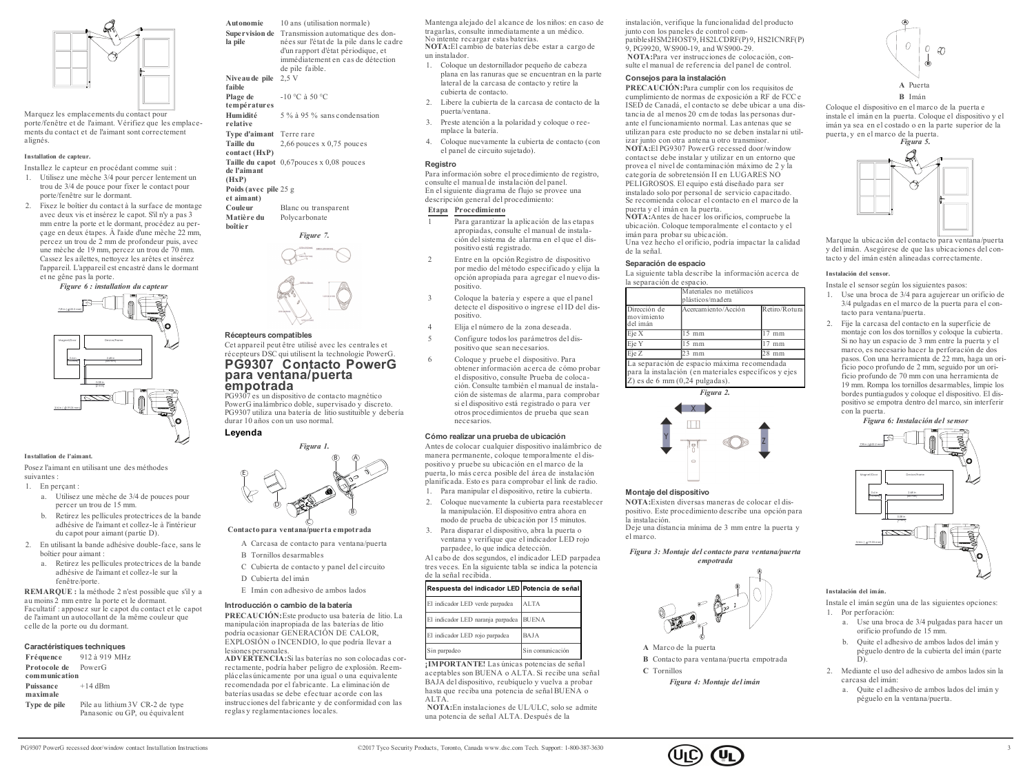

Marquez les emplacements du contact pour porte/fenêtre et de l'aimant. Vérifiez que les emplacements du contact et de l'aimant sont correctement alignés.

### **Installation de capteur.**

Installez le capteur en procédant comme suit :

- 1. Utilisez une mèche 3/4 pour percer lentement un trou de 3/4 de pouce pour fixer le contact pour porte/fenêtre sur le dormant.
- 2. Fixez le boîtier du contact à la surface de montage avec deux vis et insérez le capot. S'il n'y a pas 3 mm entre la porte et le dormant, procédez au perçage en deux étapes. À l'aide d'une mèche 22 mm, percez un trou de 2 mm de profondeur puis, avec une mèche de 19 mm, percez un trou de 70 mm. Cassez les ailettes, nettoyez les arêtes et insérez l'appareil. L'appareil est encastré dans le dormant et ne gêne pas la porte.

*Figure 6 : installation du capteur* 2.68 in (68 mm)  $0.6 \ln \frac{1}{2}$  $[15 mm]$  0.08 in 2 mm Magnet/Door Device/Frame 7/8 in ( 22.2 mm)

#### **Installation de l'aimant.**

3/4 in ( 19.05 mm)

Posez l'aimant en utilisant une des méthodes suivantes :

1. En percant

- a. Utilisez une mèche de 3/4 de pouces pour percer un trou de 15 mm.
- b. Retirez les pellicules protectrices de la bande adhésive de l'aimant et collez-le à l'intérieur du capot pour aimant (partie D).
- 2. En utilisant la bande adhésive double-face, sans le boîtier pour aimant :
	- a. Retirez les pellicules protectrices de la bande adhésive de l'aimant et collez-le sur la fenêtre/porte.

**REMARQUE :** la méthode 2 n'est possible que s'il y a au moins 2 mm entre la porte et le dormant. Facultatif : apposez sur le capot du contact et le capot de l'aimant un autocollant de la même couleur que celle de la porte ou du dormant.

#### **Caractéristiques techniques**

**Fréquence** 912 à 919 MHz **Protocole de communication** PowerG **Puissance maximale**  $+14$  dBm **Type de pile** Pile au lithium 3V CR-2 de type Panasonic ou GP, ou équivalent **Autonomie** 10 ans (utilisation normale) **Supervision de** Transmission automatique des don**la pile** nées sur l'état de la pile dans le cadre d'un rapport d'état périodique, et immédiatement en cas de détection de pile faible. **Niveaude pile** 2,5 V **faible Plage de températures** -10 °C à 50 °C **Humidité relative** 5 % à 95 % sans condensation **Type d'aimant** Terre rare **Taille du contact (HxP)** 2,66 pouces x 0,75 pouces **Taille du capot** 0,67pouces x 0,08 pouces **de l'aimant (HxP) Poids(avec pile** 25 g **et aimant) Blanc** ou transparent **Matière du boîtier** Polycarbonate

*Figure 7.*

### **Récepteurs compatibles**

Cet appareil peut être utilisé avec les centrales et récepteurs DSC qui utilisent la technologie PowerG. **PG9307 Contacto PowerG para ventana/puerta empotrada**

PG9307 es un dispositivo de contacto magnético PowerG inalámbrico doble, supervisado y discreto. PG9307 utiliza una batería de litio sustituible y debería durar 10 años con un uso normal.

*Figura 1.*

**Leyenda**



**Contacto para ventana/puerta empotrada**

- A Carcasa de contacto para ventana/puerta
- B Tornillos desarmables
- C Cubierta de contacto y panel del circuito
- D Cubierta del imán
- E Imán con adhesivo de ambos lados

### **Introducción o cambio de la batería**

**PRECAUCIÓN:**Este producto usa batería de litio. La manipulación inapropiada de las baterías de litio podría ocasionar GENERACIÓN DE CALOR, EXPLOSIÓN o INCENDIO, lo que podría llevar a lesiones personales.

**ADVERTENCIA:**Si las baterías no son colocadas correctamente, podría haber peligro de explosión. Reemplácelas únicamente por una igual o una equivalente recomendada por el fabricante. La eliminación de baterías usadas se debe efectuar acorde con las instrucciones del fabricante y de conformidad con las reglas y reglamentaciones locales.

Mantenga alejado del alcance de los niños: en caso de tragarlas, consulte inmediatamente a un médico. No intente recargar estas baterías. **NOTA:**El cambio de baterías debe estar a cargo de un instalador.

- 1. Coloque un destornillador pequeño de cabeza plana en las ranuras que se encuentran en la parte lateral de la carcasa de contacto y retire la cubierta de contacto.
- 2. Libere la cubierta de la carcasa de contacto de la puerta/ventana.
- 3. Preste atención a la polaridad y coloque o reemplace la batería.
- 4. Coloque nuevamente la cubierta de contacto (con el panel de circuito sujetado).

### **Registro**

Para información sobre el procedimiento de registro, consulte el manual de instalación del panel. En el siguiente diagrama de flujo se provee una descripción general del procedimiento:

# **Etapa Procedimiento**

- 1 Para garantizar la aplicación de las etapas apropiadas, consulte el manual de instalación del sistema de alarma en el que el dispositivo está registrado.
- 2 Entre en la opción Registro de dispositivo por medio del método especificado y elija la opción apropiada para agregar el nuevo dispositivo.
- 3 Coloque la batería y espere a que el panel detecte el dispositivo o ingrese el ID del dispositivo.
- 4 Elija el número de la zona deseada.
- 5 Configure todoslos parámetros del dispositivo que sean necesarios.
- 6 Coloque y pruebe el dispositivo. Para obtener información acerca de cómo probar el dispositivo, consulte Prueba de colocación. Consulte también el manual de instalación de sistemas de alarma, para comprobar si el dispositivo está registrado o para ver otros procedimientos de prueba que sean necesarios.

### **Cómo realizar una prueba de ubicación**

Antes de colocar cualquier dispositivo inalámbrico de manera permanente, coloque temporalmente el dispositivo y pruebe su ubicación en el marco de la puerta, lo más cerca posible del área de instalación planificada. Esto es para comprobar el link de radio.

- 1. Para manipular el dispositivo, retire la cubierta.
- 2. Coloque nuevamente la cubierta para reestablecer la manipulación. El dispositivo entra ahora en modo de prueba de ubicación por 15 minutos.
- 3. Para disparar el dispositivo, abra la puerta o ventana y verifique que el indicador LED rojo parpadee, lo que indica detección.
- Al cabo de dos segundos, el indicador LED parpadea tres veces. En la siguiente tabla se indica la potencia de la señal recibida.

### **Respuesta del indicador LED Potencia de señal**

| El indicador LED verde parpadea         | <b>ALTA</b>      |
|-----------------------------------------|------------------|
| El indicador LED naranja parpadea BUENA |                  |
| El indicador LED rojo parpadea          | BAJA             |
| Sin parpadeo                            | Sin comunicación |

**¡IMPORTANTE!** Las únicas potencias de señal aceptables son BUENA o ALTA. Si recibe una señal BAJA del dispositivo, reubíquelo y vuelva a probar hasta que reciba una potencia de señal BUENA o ALTA.

**NOTA:**En instalaciones de UL/ULC, solo se admite una potencia de señal ALTA. Después de la

instalación, verifique la funcionalidad del producto junto con los paneles de control compatiblesHSM2HOST9, HS2LCDRF(P) 9, HS2ICNRF(P) 9, PG9920, WS900-19, and WS900-29. **NOTA:**Para ver instrucciones de colocación, consulte el manual de referencia del panel de control.

### **Consejos para la instalación**

**PRECAUCIÓN:**Para cumplir con los requisitos de cumplimiento de normas de exposición a RF de FCC e ISED de Canadá, el contacto se debe ubicar a una distancia de al menos 20 cm de todas las personas durante el funcionamiento normal. Las antenas que se utilizan para este producto no se deben instalar ni utilizar junto con otra antena u otro transmisor.

**NOTA:**El PG9307 PowerG recessed door/window contactse debe instalar y utilizar en un entorno que provea el nivel de contaminación máximo de 2 y la categoría de sobretensión II en LUGARES NO PELIGROSOS. El equipo está diseñado para ser instalado solo por personal de servicio capacitado. Se recomienda colocar el contacto en el marco de la puerta y el imán en la puerta.

**NOTA:**Antes de hacer los orificios, compruebe la ubicación. Coloque temporalmente el contacto y el imán para probar su ubicación.

Una vez hecho el orificio, podría impactar la calidad de la señal.

# **Separación de espacio**

La siguiente tabla describe la información acerca de la separación de espacio.

| Dirección de<br>movimiento | Acercamiento/Acción | Retiro/Rotura |
|----------------------------|---------------------|---------------|
| del imán                   |                     |               |
| Eie X                      | mm                  | mm            |
| Eje Y                      | mm                  | mm            |
| Eje Z                      | 23<br>mm            | mm            |

Z) es de 6 mm (0,24 pulgadas). *Figura 2.*



### **Montaje del dispositivo**

**NOTA:**Existen diversas maneras de colocar el dispositivo. Este procedimiento describe una opción para la instalación.

Deje una distancia mínima de 3 mm entre la puerta y el marco.

*Figura 3: Montaje del contacto para ventana/puerta empotrada*



**A** Marco de la puerta **B** Contacto para ventana/puerta empotrada **C** Tornillos

*Figura 4: Montaje del imán*



Coloque el dispositivo en el marco de la puerta e instale el imán en la puerta. Coloque el dispositivo y el imán ya sea en el costado o en la parte superior de la puerta, y en el marco de la puerta.



Marque la ubicación del contacto para ventana/puerta y del imán. Asegúrese de que las ubicaciones del contacto y del imán estén alineadas correctamente.

### **Instalación del sensor.**

Instale el sensor según los siguientes pasos:

- 1. Use una broca de 3/4 para agujerear un orificio de 3/4 pulgadas en el marco de la puerta para el contacto para ventana/puerta.
- 2. Fije la carcasa del contacto en la superficie de montaje con los dos tornillos y coloque la cubierta. Si no hay un espacio de 3 mm entre la puerta y el marco, es necesario hacer la perforación de dos pasos. Con una herramienta de 22 mm, haga un orificio poco profundo de 2 mm, seguido por un orificio profundo de 70 mm con una herramienta de 19 mm. Rompa los tornillos desarmables, limpie los bordes puntiagudos y coloque el dispositivo. El dispositivo se empotra dentro del marco, sin interferir con la puerta.

*Figura 6: Instalación del sensor*



#### **Instalación del imán.**

Instale el imán según una de las siguientes opciones: 1. Por perforación:

- a. Use una broca de 3/4 pulgadas para hacer un orificio profundo de 15 mm.
- b. Quite el adhesivo de ambos lados del imán y péguelo dentro de la cubierta del imán (parte D).
- 2. Mediante el uso del adhesivo de ambos lados sin la carcasa del imán:
	- a. Quite el adhesivo de ambos lados del imán y péguelo en la ventana/puerta.